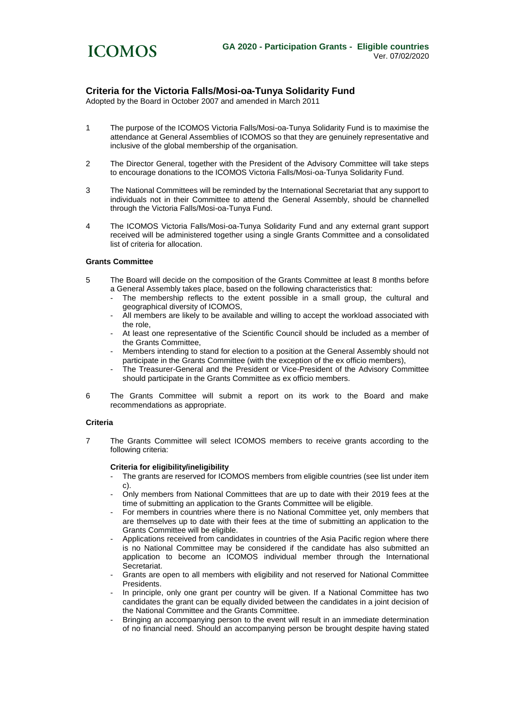

## **Criteria for the Victoria Falls/Mosi-oa-Tunya Solidarity Fund**

Adopted by the Board in October 2007 and amended in March 2011

- 1 The purpose of the ICOMOS Victoria Falls/Mosi-oa-Tunya Solidarity Fund is to maximise the attendance at General Assemblies of ICOMOS so that they are genuinely representative and inclusive of the global membership of the organisation.
- 2 The Director General, together with the President of the Advisory Committee will take steps to encourage donations to the ICOMOS Victoria Falls/Mosi-oa-Tunya Solidarity Fund.
- 3 The National Committees will be reminded by the International Secretariat that any support to individuals not in their Committee to attend the General Assembly, should be channelled through the Victoria Falls/Mosi-oa-Tunya Fund.
- 4 The ICOMOS Victoria Falls/Mosi-oa-Tunya Solidarity Fund and any external grant support received will be administered together using a single Grants Committee and a consolidated list of criteria for allocation.

## **Grants Committee**

- 5 The Board will decide on the composition of the Grants Committee at least 8 months before a General Assembly takes place, based on the following characteristics that:
	- The membership reflects to the extent possible in a small group, the cultural and geographical diversity of ICOMOS,
	- All members are likely to be available and willing to accept the workload associated with the role,
	- At least one representative of the Scientific Council should be included as a member of the Grants Committee,
	- Members intending to stand for election to a position at the General Assembly should not participate in the Grants Committee (with the exception of the ex officio members),
	- The Treasurer-General and the President or Vice-President of the Advisory Committee should participate in the Grants Committee as ex officio members.
- 6 The Grants Committee will submit a report on its work to the Board and make recommendations as appropriate.

#### **Criteria**

7 The Grants Committee will select ICOMOS members to receive grants according to the following criteria:

#### **Criteria for eligibility/ineligibility**

- The grants are reserved for ICOMOS members from eligible countries (see list under item c).
- Only members from National Committees that are up to date with their 2019 fees at the time of submitting an application to the Grants Committee will be eligible.
- For members in countries where there is no National Committee yet, only members that are themselves up to date with their fees at the time of submitting an application to the Grants Committee will be eligible.
- Applications received from candidates in countries of the Asia Pacific region where there is no National Committee may be considered if the candidate has also submitted an application to become an ICOMOS individual member through the International Secretariat.
- Grants are open to all members with eligibility and not reserved for National Committee Presidents.
- In principle, only one grant per country will be given. If a National Committee has two candidates the grant can be equally divided between the candidates in a joint decision of the National Committee and the Grants Committee.
- Bringing an accompanying person to the event will result in an immediate determination of no financial need. Should an accompanying person be brought despite having stated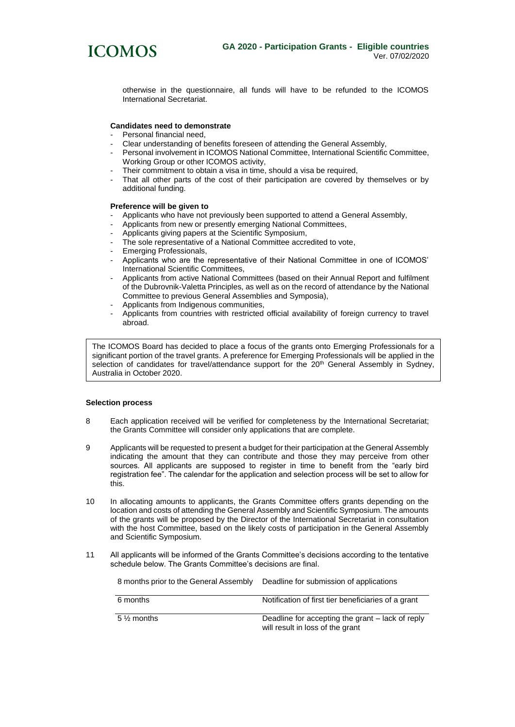

otherwise in the questionnaire, all funds will have to be refunded to the ICOMOS International Secretariat.

## **Candidates need to demonstrate**

- Personal financial need,
- Clear understanding of benefits foreseen of attending the General Assembly,
- Personal involvement in ICOMOS National Committee, International Scientific Committee, Working Group or other ICOMOS activity,
- Their commitment to obtain a visa in time, should a visa be required,
- That all other parts of the cost of their participation are covered by themselves or by additional funding.

#### **Preference will be given to**

- Applicants who have not previously been supported to attend a General Assembly,
- Applicants from new or presently emerging National Committees,
- Applicants giving papers at the Scientific Symposium,
- The sole representative of a National Committee accredited to vote,
- Emerging Professionals,
- Applicants who are the representative of their National Committee in one of ICOMOS' International Scientific Committees,
- Applicants from active National Committees (based on their Annual Report and fulfilment of the Dubrovnik-Valetta Principles, as well as on the record of attendance by the National Committee to previous General Assemblies and Symposia),
- Applicants from Indigenous communities,
- Applicants from countries with restricted official availability of foreign currency to travel abroad.

The ICOMOS Board has decided to place a focus of the grants onto Emerging Professionals for a significant portion of the travel grants. A preference for Emerging Professionals will be applied in the selection of candidates for travel/attendance support for the 20<sup>th</sup> General Assembly in Sydney, Australia in October 2020.

### **Selection process**

- 8 Each application received will be verified for completeness by the International Secretariat; the Grants Committee will consider only applications that are complete.
- 9 Applicants will be requested to present a budget for their participation at the General Assembly indicating the amount that they can contribute and those they may perceive from other sources. All applicants are supposed to register in time to benefit from the "early bird registration fee". The calendar for the application and selection process will be set to allow for this.
- 10 In allocating amounts to applicants, the Grants Committee offers grants depending on the location and costs of attending the General Assembly and Scientific Symposium. The amounts of the grants will be proposed by the Director of the International Secretariat in consultation with the host Committee, based on the likely costs of participation in the General Assembly and Scientific Symposium.
- 11 All applicants will be informed of the Grants Committee's decisions according to the tentative schedule below. The Grants Committee's decisions are final.

8 months prior to the General Assembly Deadline for submission of applications

| 6 months     | Notification of first tier beneficiaries of a grant                                  |
|--------------|--------------------------------------------------------------------------------------|
| $5\%$ months | Deadline for accepting the grant – lack of reply<br>will result in loss of the grant |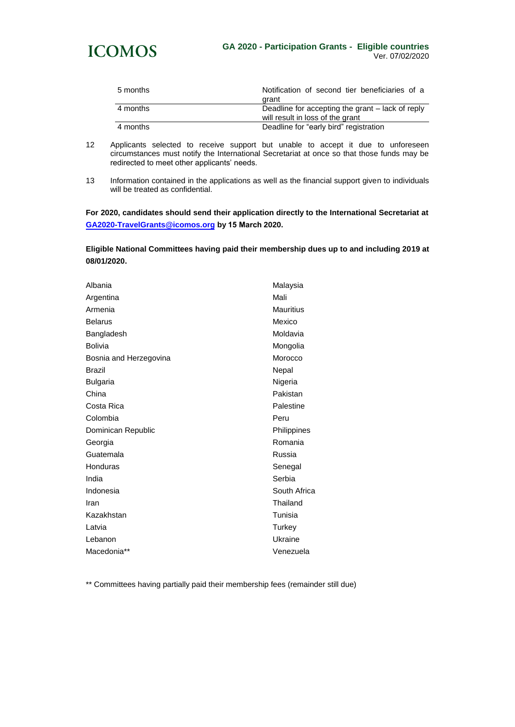

| 5 months | Notification of second tier beneficiaries of a<br>arant                              |
|----------|--------------------------------------------------------------------------------------|
| 4 months | Deadline for accepting the grant – lack of reply<br>will result in loss of the grant |
| 4 months | Deadline for "early bird" registration                                               |

- 12 Applicants selected to receive support but unable to accept it due to unforeseen circumstances must notify the International Secretariat at once so that those funds may be redirected to meet other applicants' needs.
- 13 Information contained in the applications as well as the financial support given to individuals will be treated as confidential.

**For 2020, candidates should send their application directly to the International Secretariat at [GA2020-TravelGrants@icomos.org](mailto:GA2020-TravelGrants@icomos.org) by 15 March 2020.**

**Eligible National Committees having paid their membership dues up to and including 2019 at 08/01/2020.** 

| Malaysia         |
|------------------|
| Mali             |
| <b>Mauritius</b> |
| Mexico           |
| Moldavia         |
| Mongolia         |
| Morocco          |
| Nepal            |
| Nigeria          |
| Pakistan         |
| Palestine        |
| Peru             |
| Philippines      |
| Romania          |
| Russia           |
| Senegal          |
| Serbia           |
| South Africa     |
| Thailand         |
| Tunisia          |
| Turkey           |
| Ukraine          |
| Venezuela        |
|                  |

\*\* Committees having partially paid their membership fees (remainder still due)